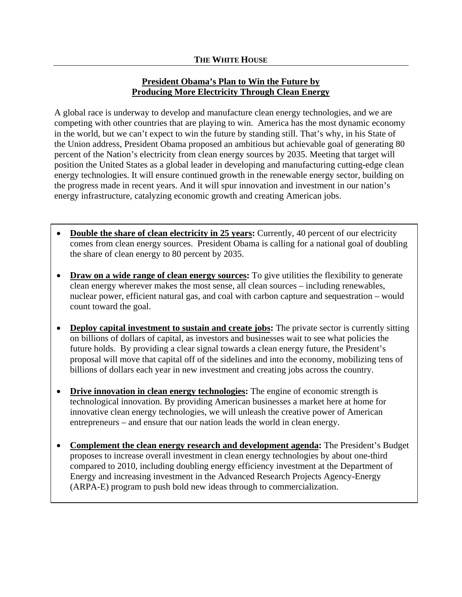## **President Obama's Plan to Win the Future by Producing More Electricity Through Clean Energy**

A global race is underway to develop and manufacture clean energy technologies, and we are competing with other countries that are playing to win. America has the most dynamic economy in the world, but we can't expect to win the future by standing still. That's why, in his State of the Union address, President Obama proposed an ambitious but achievable goal of generating 80 percent of the Nation's electricity from clean energy sources by 2035. Meeting that target will position the United States as a global leader in developing and manufacturing cutting-edge clean energy technologies. It will ensure continued growth in the renewable energy sector, building on the progress made in recent years. And it will spur innovation and investment in our nation's energy infrastructure, catalyzing economic growth and creating American jobs.

- **Double the share of clean electricity in 25 years:** Currently, 40 percent of our electricity comes from clean energy sources. President Obama is calling for a national goal of doubling the share of clean energy to 80 percent by 2035.
- Draw on a wide range of clean energy sources: To give utilities the flexibility to generate clean energy wherever makes the most sense, all clean sources – including renewables, nuclear power, efficient natural gas, and coal with carbon capture and sequestration – would count toward the goal.
- Deploy capital investment to sustain and create jobs: The private sector is currently sitting on billions of dollars of capital, as investors and businesses wait to see what policies the future holds. By providing a clear signal towards a clean energy future, the President's proposal will move that capital off of the sidelines and into the economy, mobilizing tens of billions of dollars each year in new investment and creating jobs across the country.
- Drive innovation in clean energy technologies: The engine of economic strength is technological innovation. By providing American businesses a market here at home for innovative clean energy technologies, we will unleash the creative power of American entrepreneurs – and ensure that our nation leads the world in clean energy.
- **Complement the clean energy research and development agenda:** The President's Budget proposes to increase overall investment in clean energy technologies by about one-third compared to 2010, including doubling energy efficiency investment at the Department of Energy and increasing investment in the Advanced Research Projects Agency-Energy (ARPA-E) program to push bold new ideas through to commercialization.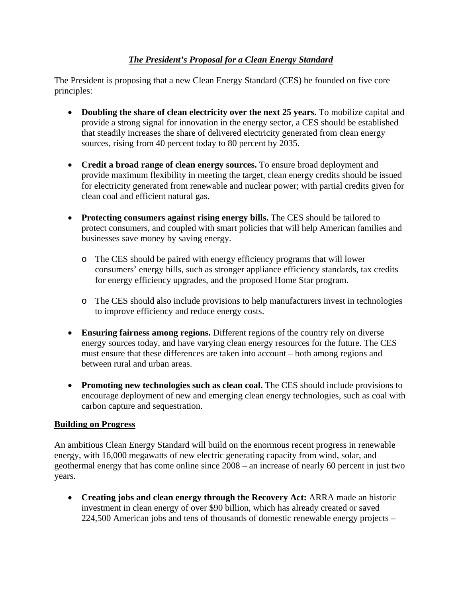## *The President's Proposal for a Clean Energy Standard*

The President is proposing that a new Clean Energy Standard (CES) be founded on five core principles:

- **Doubling the share of clean electricity over the next 25 years.** To mobilize capital and provide a strong signal for innovation in the energy sector, a CES should be established that steadily increases the share of delivered electricity generated from clean energy sources, rising from 40 percent today to 80 percent by 2035.
- **Credit a broad range of clean energy sources.** To ensure broad deployment and provide maximum flexibility in meeting the target, clean energy credits should be issued for electricity generated from renewable and nuclear power; with partial credits given for clean coal and efficient natural gas.
- Protecting consumers against rising energy bills. The CES should be tailored to protect consumers, and coupled with smart policies that will help American families and businesses save money by saving energy.
	- o The CES should be paired with energy efficiency programs that will lower consumers' energy bills, such as stronger appliance efficiency standards, tax credits for energy efficiency upgrades, and the proposed Home Star program.
	- o The CES should also include provisions to help manufacturers invest in technologies to improve efficiency and reduce energy costs.
- **Ensuring fairness among regions.** Different regions of the country rely on diverse energy sources today, and have varying clean energy resources for the future. The CES must ensure that these differences are taken into account – both among regions and between rural and urban areas.
- **Promoting new technologies such as clean coal.** The CES should include provisions to encourage deployment of new and emerging clean energy technologies, such as coal with carbon capture and sequestration.

## **Building on Progress**

An ambitious Clean Energy Standard will build on the enormous recent progress in renewable energy, with 16,000 megawatts of new electric generating capacity from wind, solar, and geothermal energy that has come online since 2008 – an increase of nearly 60 percent in just two years.

 **Creating jobs and clean energy through the Recovery Act:** ARRA made an historic investment in clean energy of over \$90 billion, which has already created or saved 224,500 American jobs and tens of thousands of domestic renewable energy projects –